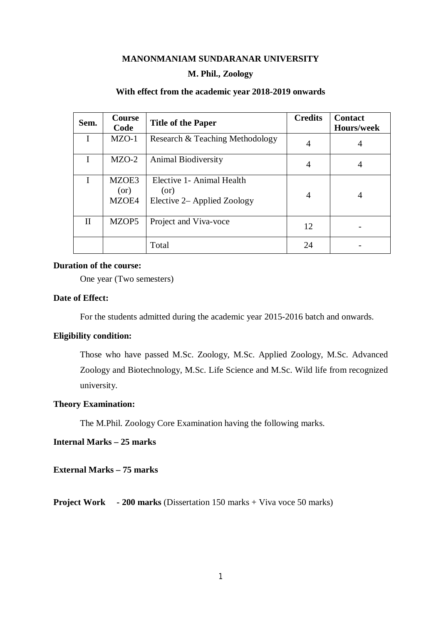### **MANONMANIAM SUNDARANAR UNIVERSITY**

#### **M. Phil., Zoology**

### **With effect from the academic year 2018-2019 onwards**

| Sem.         | Course<br>Code         | <b>Title of the Paper</b>                                        | <b>Credits</b> | <b>Contact</b><br><b>Hours/week</b> |
|--------------|------------------------|------------------------------------------------------------------|----------------|-------------------------------------|
|              | $MZO-1$                | Research & Teaching Methodology                                  | 4              | 4                                   |
|              | $MZO-2$                | <b>Animal Biodiversity</b>                                       | 4              | 4                                   |
|              | MZOE3<br>(or)<br>MZOE4 | Elective 1- Animal Health<br>(or)<br>Elective 2– Applied Zoology | 4              | 4                                   |
| $\mathbf{H}$ | MZOP5                  | Project and Viva-voce                                            | 12             |                                     |
|              |                        | Total                                                            | 24             |                                     |

#### **Duration of the course:**

One year (Two semesters)

# **Date of Effect:**

For the students admitted during the academic year 2015-2016 batch and onwards.

# **Eligibility condition:**

Those who have passed M.Sc. Zoology, M.Sc. Applied Zoology, M.Sc. Advanced Zoology and Biotechnology, M.Sc. Life Science and M.Sc. Wild life from recognized university.

## **Theory Examination:**

The M.Phil. Zoology Core Examination having the following marks.

# **Internal Marks – 25 marks**

**External Marks – 75 marks**

**Project Work - 200 marks (Dissertation 150 marks + Viva voce 50 marks)**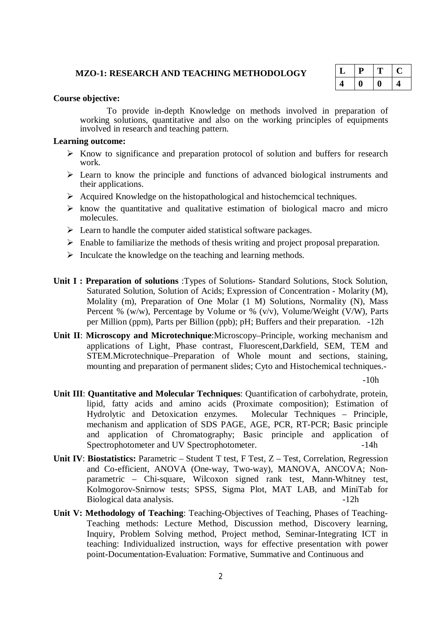#### **MZO-1: RESEARCH AND TEACHING METHODOLOGY**

|   | D | т  | υ. |
|---|---|----|----|
| 4 | I | I) | ш  |

#### **Course objective:**

To provide in-depth Knowledge on methods involved in preparation of working solutions, quantitative and also on the working principles of equipments involved in research and teaching pattern.

#### **Learning outcome:**

- $\triangleright$  Know to significance and preparation protocol of solution and buffers for research work.
- $\triangleright$  Learn to know the principle and functions of advanced biological instruments and their applications.
- $\triangleright$  Acquired Knowledge on the histopathological and histochemcical techniques.
- $\triangleright$  know the quantitative and qualitative estimation of biological macro and micro molecules.
- $\triangleright$  Learn to handle the computer aided statistical software packages.
- $\triangleright$  Enable to familiarize the methods of thesis writing and project proposal preparation.
- $\triangleright$  Inculcate the knowledge on the teaching and learning methods.
- **Unit I : Preparation of solutions** :Types of Solutions- Standard Solutions, Stock Solution, Saturated Solution, Solution of Acids; Expression of Concentration - Molarity (M), Molality (m), Preparation of One Molar (1 M) Solutions, Normality (N), Mass Percent % (w/w), Percentage by Volume or % (v/v), Volume/Weight (V/W), Parts per Million (ppm), Parts per Billion (ppb); pH; Buffers and their preparation. -12h
- **Unit II**: **Microscopy and Microtechnique**:Microscopy–Principle, working mechanism and applications of Light, Phase contrast, Fluorescent,Darkfield, SEM, TEM and STEM.Microtechnique–Preparation of Whole mount and sections, staining, mounting and preparation of permanent slides; Cyto and Histochemical techniques.-

 $-10h$ 

- **Unit III**: **Quantitative and Molecular Techniques**: Quantification of carbohydrate, protein, lipid, fatty acids and amino acids (Proximate composition); Estimation of Hydrolytic and Detoxication enzymes. Molecular Techniques – Principle, mechanism and application of SDS PAGE, AGE, PCR, RT-PCR; Basic principle and application of Chromatography; Basic principle and application of Spectrophotometer and UV Spectrophotometer. -14h
- **Unit IV**: **Biostatistics:** Parametric Student T test, F Test, Z Test, Correlation, Regression and Co-efficient, ANOVA (One-way, Two-way), MANOVA, ANCOVA; Nonparametric – Chi-square, Wilcoxon signed rank test, Mann-Whitney test, Kolmogorov-Snirnow tests; SPSS, Sigma Plot, MAT LAB, and MiniTab for Biological data analysis.  $-12h$
- **Unit V: Methodology of Teaching**: Teaching-Objectives of Teaching, Phases of Teaching-Teaching methods: Lecture Method, Discussion method, Discovery learning, Inquiry, Problem Solving method, Project method, Seminar-Integrating ICT in teaching: Individualized instruction, ways for effective presentation with power point-Documentation-Evaluation: Formative, Summative and Continuous and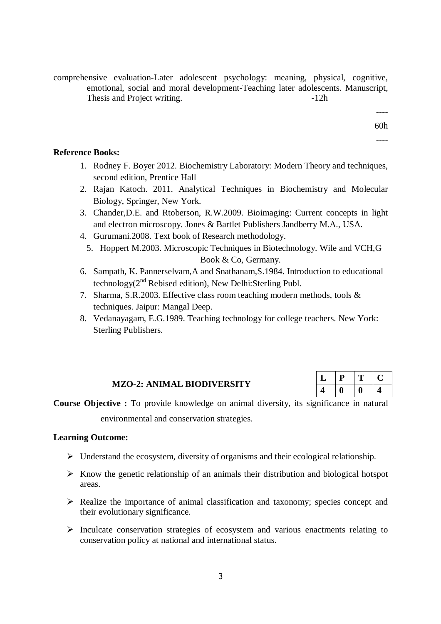comprehensive evaluation-Later adolescent psychology: meaning, physical, cognitive, emotional, social and moral development-Teaching later adolescents. Manuscript, Thesis and Project writing.  $-12h$ 

---- 60h ----

# **Reference Books:**

- 1. Rodney F. Boyer 2012. Biochemistry Laboratory: Modern Theory and techniques, second edition, Prentice Hall
- 2. Rajan Katoch. 2011. Analytical Techniques in Biochemistry and Molecular Biology, Springer, New York.
- 3. Chander,D.E. and Rtoberson, R.W.2009. Bioimaging: Current concepts in light and electron microscopy. Jones & Bartlet Publishers Jandberry M.A., USA.
- 4. Gurumani.2008. Text book of Research methodology.
	- 5. Hoppert M.2003. Microscopic Techniques in Biotechnology. Wile and VCH,G Book & Co, Germany.
- 6. Sampath, K. Pannerselvam,A and Snathanam,S.1984. Introduction to educational technology $(2^{nd}$  Rebised edition), New Delhi: Sterling Publ.
- 7. Sharma, S.R.2003. Effective class room teaching modern methods, tools & techniques. Jaipur: Mangal Deep.
- 8. Vedanayagam, E.G.1989. Teaching technology for college teachers. New York: Sterling Publishers.

## **MZO-2: ANIMAL BIODIVERSITY**

| پ | í. |  |
|---|----|--|
| ٠ |    |  |

**Course Objective :** To provide knowledge on animal diversity, its significance in natural environmental and conservation strategies.

# **Learning Outcome:**

- $\triangleright$  Understand the ecosystem, diversity of organisms and their ecological relationship.
- $\triangleright$  Know the genetic relationship of an animals their distribution and biological hotspot areas.
- $\triangleright$  Realize the importance of animal classification and taxonomy; species concept and their evolutionary significance.
- $\triangleright$  Inculcate conservation strategies of ecosystem and various enactments relating to conservation policy at national and international status.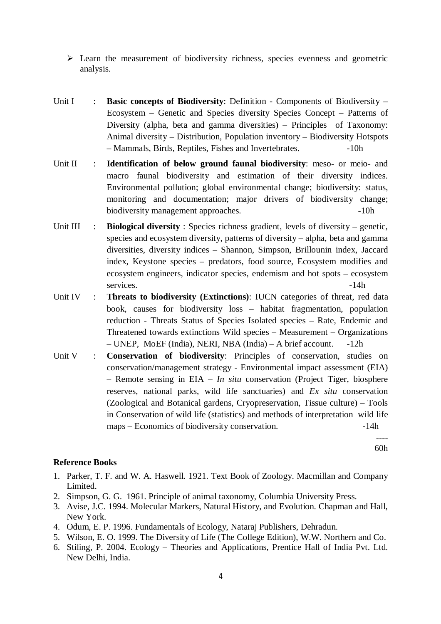$\triangleright$  Learn the measurement of biodiversity richness, species evenness and geometric analysis.

- Unit I : **Basic concepts of Biodiversity**: Definition Components of Biodiversity Ecosystem – Genetic and Species diversity Species Concept – Patterns of Diversity (alpha, beta and gamma diversities) – Principles of Taxonomy: Animal diversity – Distribution, Population inventory – Biodiversity Hotspots – Mammals, Birds, Reptiles, Fishes and Invertebrates. -10h
- Unit II : **Identification of below ground faunal biodiversity**: meso- or meio- and macro faunal biodiversity and estimation of their diversity indices. Environmental pollution; global environmental change; biodiversity: status, monitoring and documentation; major drivers of biodiversity change; biodiversity management approaches.  $-10h$
- Unit III : **Biological diversity** : Species richness gradient, levels of diversity genetic, species and ecosystem diversity, patterns of diversity – alpha, beta and gamma diversities, diversity indices – Shannon, Simpson, Brillounin index, Jaccard index, Keystone species – predators, food source, Ecosystem modifies and ecosystem engineers, indicator species, endemism and hot spots – ecosystem services.  $-14h$
- Unit IV : **Threats to biodiversity (Extinctions)**: IUCN categories of threat, red data book, causes for biodiversity loss – habitat fragmentation, population reduction - Threats Status of Species Isolated species – Rate, Endemic and Threatened towards extinctions Wild species – Measurement – Organizations – UNEP, MoEF (India), NERI, NBA (India) – A brief account. -12h
- Unit V : **Conservation of biodiversity**: Principles of conservation, studies on conservation/management strategy - Environmental impact assessment (EIA) – Remote sensing in EIA – *In situ* conservation (Project Tiger, biosphere reserves, national parks, wild life sanctuaries) and *Ex situ* conservation (Zoological and Botanical gardens, Cryopreservation, Tissue culture) – Tools in Conservation of wild life (statistics) and methods of interpretation wild life maps – Economics of biodiversity conservation.  $-14h$

---- 60h

## **Reference Books**

- 1. Parker, T. F. and W. A. Haswell. 1921. Text Book of Zoology. Macmillan and Company Limited.
- 2. Simpson, G. G. 1961. Principle of animal taxonomy, Columbia University Press.
- 3. Avise, J.C. 1994. Molecular Markers, Natural History, and Evolution. Chapman and Hall, New York.
- 4. Odum, E. P. 1996. Fundamentals of Ecology, Nataraj Publishers, Dehradun.
- 5. Wilson, E. O. 1999. The Diversity of Life (The College Edition), W.W. Northern and Co.
- 6. Stiling, P. 2004. Ecology Theories and Applications, Prentice Hall of India Pvt. Ltd. New Delhi, India.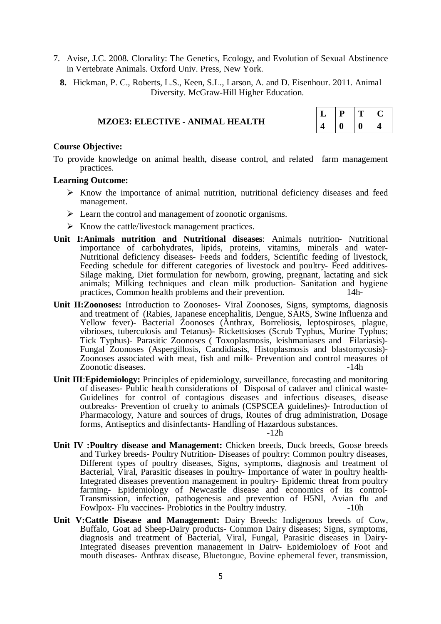- 7. Avise, J.C. 2008. Clonality: The Genetics, Ecology, and Evolution of Sexual Abstinence in Vertebrate Animals. Oxford Univ. Press, New York.
	- **8.** Hickman, P. C., Roberts, L.S., Keen, S.L., Larson, A. and D. Eisenhour. 2011. Animal Diversity. McGraw-Hill Higher Education.

|  | <b>MZOE3: ELECTIVE - ANIMAL HEALTH</b> |  |  |
|--|----------------------------------------|--|--|
|--|----------------------------------------|--|--|

| ⊔ | P |   |  |
|---|---|---|--|
|   |   | D |  |

#### **Course Objective:**

To provide knowledge on animal health, disease control, and related farm management practices.

#### **Learning Outcome:**

- $\triangleright$  Know the importance of animal nutrition, nutritional deficiency diseases and feed management.
- $\triangleright$  Learn the control and management of zoonotic organisms.
- $\triangleright$  Know the cattle/livestock management practices.
- **Unit I:Animals nutrition and Nutritional diseases**: Animals nutrition- Nutritional importance of carbohydrates, lipids, proteins, vitamins, minerals and water-Nutritional deficiency diseases- Feeds and fodders, Scientific feeding of livestock, Feeding schedule for different categories of livestock and poultry- Feed additives-Silage making, Diet formulation for newborn, growing, pregnant, lactating and sick animals; Milking techniques and clean milk production- Sanitation and hygiene practices, Common health problems and their prevention. 14h-
- **Unit II:Zoonoses:** Introduction to Zoonoses- Viral Zoonoses, Signs, symptoms, diagnosis and treatment of (Rabies, Japanese encephalitis, Dengue, SARS, Swine Influenza and Yellow fever)- Bacterial Zoonoses (Anthrax, Borreliosis, leptospiroses, plague, vibrioses, tuberculosis and Tetanus)- Rickettsioses (Scrub Typhus, Murine Typhus; Tick Typhus)- Parasitic Zoonoses ( Toxoplasmosis, leishmaniases and Filariasis)- Fungal Zoonoses (Aspergillosis, Candidiasis, Histoplasmosis and blastomycosis)- Zoonoses associated with meat, fish and milk- Prevention and control measures of Zoonotic diseases. -14h
- **Unit III**:**Epidemiology:** Principles of epidemiology, surveillance, forecasting and monitoring of diseases- Public health considerations of Disposal of cadaver and clinical waste-Guidelines for control of contagious diseases and infectious diseases, disease outbreaks- Prevention of cruelty to animals (CSPSCEA guidelines)- Introduction of Pharmacology, Nature and sources of drugs, Routes of drug administration, Dosage forms, Antiseptics and disinfectants- Handling of Hazardous substances.

-12h

- **Unit IV :Poultry disease and Management:** Chicken breeds, Duck breeds, Goose breeds and Turkey breeds- Poultry Nutrition- Diseases of poultry: Common poultry diseases, Different types of poultry diseases, Signs, symptoms, diagnosis and treatment of Bacterial, Viral, Parasitic diseases in poultry- Importance of water in poultry health-Integrated diseases prevention management in poultry- Epidemic threat from poultry farming- Epidemiology of Newcastle disease and economics of its control-Transmission, infection, pathogenesis and prevention of H5NI, Avian flu and Fowlpox- Flu vaccines- Probiotics in the Poultry industry. -10h
- **Unit V:Cattle Disease and Management:** Dairy Breeds: Indigenous breeds of Cow, Buffalo, Goat ad Sheep-Dairy products- Common Dairy diseases; Signs, symptoms, diagnosis and treatment of Bacterial, Viral, Fungal, Parasitic diseases in Dairy-Integrated diseases prevention management in Dairy- Epidemiology of Foot and mouth diseases- Anthrax disease, Bluetongue, Bovine ephemeral fever, transmission,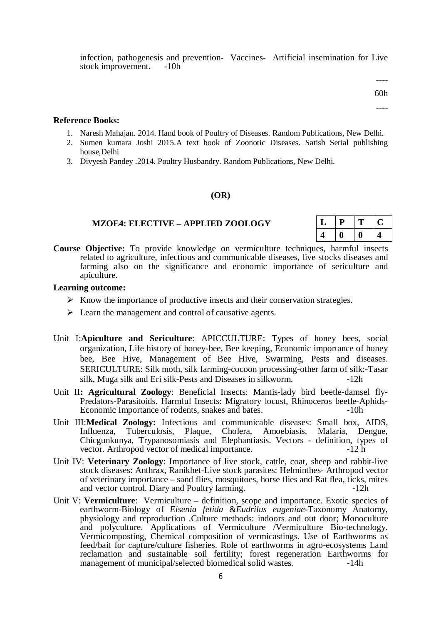infection, pathogenesis and prevention- Vaccines- Artificial insemination for Live stock improvement. -10h

> ---- 60h

----

#### **Reference Books:**

- 1. Naresh Mahajan. 2014. Hand book of Poultry of Diseases. Random Publications, New Delhi.
- 2. Sumen kumara Joshi 2015.A text book of Zoonotic Diseases. Satish Serial publishing house,Delhi
- 3. Divyesh Pandey .2014. Poultry Husbandry. Random Publications, New Delhi.

### **(OR)**

### **MZOE4: ELECTIVE – APPLIED ZOOLOGY**

| ப | D<br>r. | - |  |
|---|---------|---|--|
|   |         |   |  |

**Course Objective:** To provide knowledge on vermiculture techniques, harmful insects related to agriculture, infectious and communicable diseases, live stocks diseases and farming also on the significance and economic importance of sericulture and apiculture.

### **Learning outcome:**

- $\triangleright$  Know the importance of productive insects and their conservation strategies.
- $\triangleright$  Learn the management and control of causative agents.
- Unit I:**Apiculture and Sericulture**: APICCULTURE: Types of honey bees, social organization, Life history of honey-bee, Bee keeping, Economic importance of honey bee, Bee Hive, Management of Bee Hive, Swarming, Pests and diseases. SERICULTURE: Silk moth, silk farming-cocoon processing-other farm of silk:-Tasar silk, Muga silk and Eri silk-Pests and Diseases in silkworm. -12h
- Unit II**: Agricultural Zoology**: Beneficial Insects: Mantis-lady bird beetle-damsel fly-Predators-Parasitoids. Harmful Insects: Migratory locust, Rhinoceros beetle-Aphids-Economic Importance of rodents, snakes and bates.  $\sim$  -10h
- Unit III:**Medical Zoology:** Infectious and communicable diseases: Small box, AIDS, Influenza, Tuberculosis, Plaque, Cholera, Amoebiasis, Malaria, Dengue, Chicgunkunya, Trypanosomiasis and Elephantiasis. Vectors - definition, types of vector. Arthropod vector of medical importance.
- Unit IV: **Veterinary Zoology**: Importance of live stock, cattle, coat, sheep and rabbit-live stock diseases: Anthrax, Ranikhet-Live stock parasites: Helminthes- Arthropod vector of veterinary importance – sand flies, mosquitoes, horse flies and Rat flea, ticks, mites and vector control. Diary and Poultry farming.  $-12h$
- Unit V: **Vermiculture**: Vermiculture definition, scope and importance. Exotic species of earthworm-Biology of *Eisenia fetida* &*Eudrilus eugeniae*-Taxonomy Anatomy, physiology and reproduction .Culture methods: indoors and out door; Monoculture and polyculture. Applications of Vermiculture /Vermiculture Bio-technology. Vermicomposting, Chemical composition of vermicastings. Use of Earthworms as feed/bait for capture/culture fisheries. Role of earthworms in agro-ecosystems Land reclamation and sustainable soil fertility; forest regeneration Earthworms for management of municipal/selected biomedical solid wastes. -14h management of municipal/selected biomedical solid wastes.